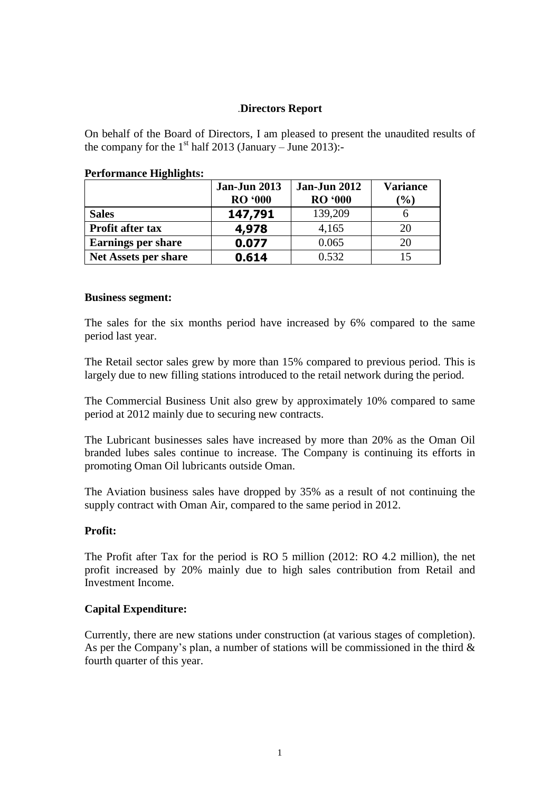# .**Directors Report**

On behalf of the Board of Directors, I am pleased to present the unaudited results of the company for the  $1<sup>st</sup>$  half 2013 (January – June 2013):-

|                             | <b>Jan-Jun 2013</b><br><b>RO</b> '000 | <b>Jan-Jun 2012</b><br><b>RO '000</b> | <b>Variance</b><br>$\left( \frac{0}{0} \right)$ |
|-----------------------------|---------------------------------------|---------------------------------------|-------------------------------------------------|
| <b>Sales</b>                | 147,791                               | 139,209                               |                                                 |
| <b>Profit after tax</b>     | 4,978                                 | 4,165                                 | 20                                              |
| <b>Earnings per share</b>   | 0.077                                 | 0.065                                 | 20                                              |
| <b>Net Assets per share</b> | 0.614                                 | 0.532                                 | 15                                              |

### **Performance Highlights:**

#### **Business segment:**

The sales for the six months period have increased by 6% compared to the same period last year.

The Retail sector sales grew by more than 15% compared to previous period. This is largely due to new filling stations introduced to the retail network during the period.

The Commercial Business Unit also grew by approximately 10% compared to same period at 2012 mainly due to securing new contracts.

The Lubricant businesses sales have increased by more than 20% as the Oman Oil branded lubes sales continue to increase. The Company is continuing its efforts in promoting Oman Oil lubricants outside Oman.

The Aviation business sales have dropped by 35% as a result of not continuing the supply contract with Oman Air, compared to the same period in 2012.

#### **Profit:**

The Profit after Tax for the period is RO 5 million (2012: RO 4.2 million), the net profit increased by 20% mainly due to high sales contribution from Retail and Investment Income.

## **Capital Expenditure:**

Currently, there are new stations under construction (at various stages of completion). As per the Company's plan, a number of stations will be commissioned in the third  $\&$ fourth quarter of this year.